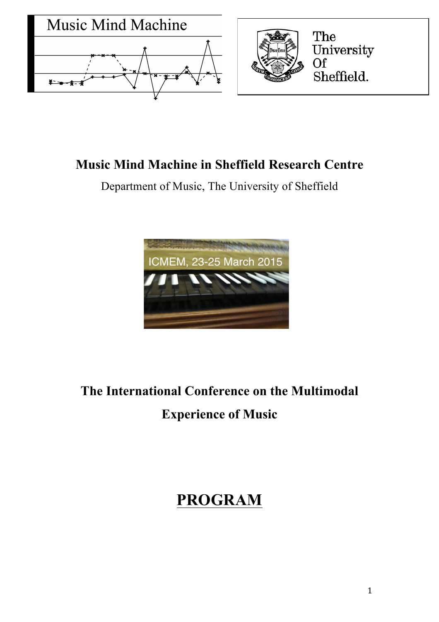

# **Music Mind Machine in Sheffield Research Centre**

Department of Music, The University of Sheffield



# **The International Conference on the Multimodal Experience of Music**

# **PROGRAM**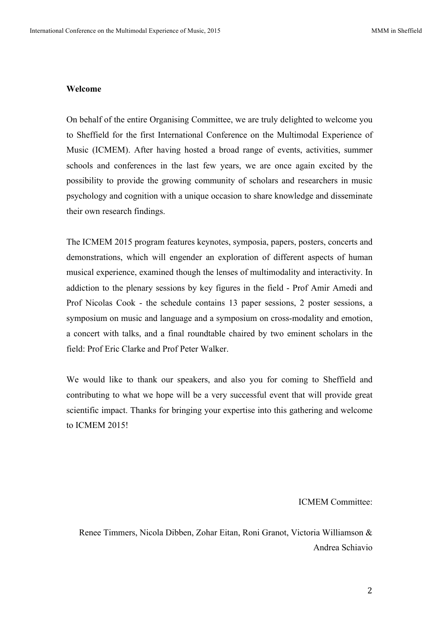#### **Welcome**

On behalf of the entire Organising Committee, we are truly delighted to welcome you to Sheffield for the first International Conference on the Multimodal Experience of Music (ICMEM). After having hosted a broad range of events, activities, summer schools and conferences in the last few years, we are once again excited by the possibility to provide the growing community of scholars and researchers in music psychology and cognition with a unique occasion to share knowledge and disseminate their own research findings.

The ICMEM 2015 program features keynotes, symposia, papers, posters, concerts and demonstrations, which will engender an exploration of different aspects of human musical experience, examined though the lenses of multimodality and interactivity. In addiction to the plenary sessions by key figures in the field - Prof Amir Amedi and Prof Nicolas Cook - the schedule contains 13 paper sessions, 2 poster sessions, a symposium on music and language and a symposium on cross-modality and emotion, a concert with talks, and a final roundtable chaired by two eminent scholars in the field: Prof Eric Clarke and Prof Peter Walker.

We would like to thank our speakers, and also you for coming to Sheffield and contributing to what we hope will be a very successful event that will provide great scientific impact. Thanks for bringing your expertise into this gathering and welcome to ICMEM 2015!

#### ICMEM Committee:

Renee Timmers, Nicola Dibben, Zohar Eitan, Roni Granot, Victoria Williamson & Andrea Schiavio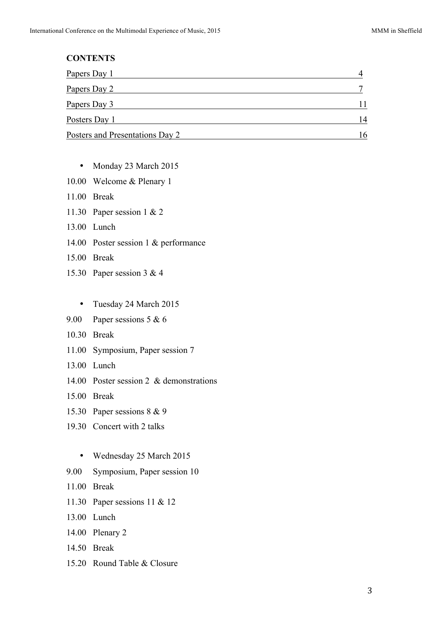# **CONTENTS**  Papers Day 1 4 Papers Day 2 7 Papers Day 3 11 Posters Day 1 14 Posters and Presentations Day 2 16

- Monday 23 March 2015
- 10.00 Welcome & Plenary 1
- 11.00 Break
- 11.30 Paper session 1 & 2
- 13.00 Lunch
- 14.00 Poster session 1 & performance
- 15.00 Break
- 15.30 Paper session 3 & 4
	- Tuesday 24 March 2015
- 9.00 Paper sessions 5 & 6
- 10.30 Break
- 11.00 Symposium, Paper session 7
- 13.00 Lunch
- 14.00 Poster session 2 & demonstrations
- 15.00 Break
- 15.30 Paper sessions 8 & 9
- 19.30 Concert with 2 talks
	- Wednesday 25 March 2015
- 9.00 Symposium, Paper session 10
- 11.00 Break
- 11.30 Paper sessions 11 & 12
- 13.00 Lunch
- 14.00 Plenary 2
- 14.50 Break
- 15.20 Round Table & Closure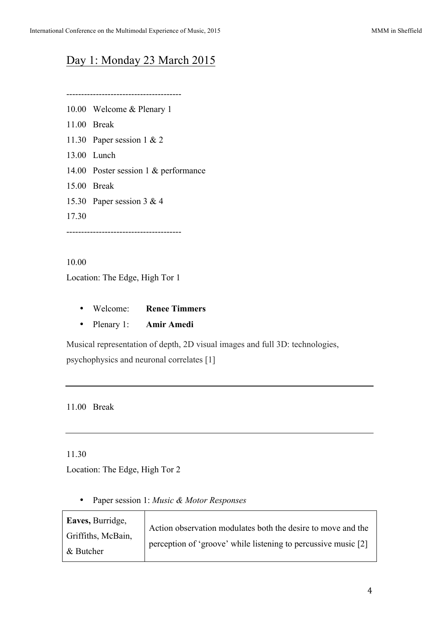# Day 1: Monday 23 March 2015

---------------------------------------

- 10.00 Welcome & Plenary 1
- 11.00 Break
- 11.30 Paper session 1 & 2
- 13.00 Lunch
- 14.00 Poster session 1 & performance
- 15.00 Break
- 15.30 Paper session 3 & 4
- 17.30

---------------------------------------

10.00 Location: The Edge, High Tor 1

- Welcome: **Renee Timmers**
- Plenary 1: **Amir Amedi**

Musical representation of depth, 2D visual images and full 3D: technologies, psychophysics and neuronal correlates [1]

11.00 Break

11.30

Location: The Edge, High Tor 2

• Paper session 1: *Music & Motor Responses*

| Eaves, Burridge,   | Action observation modulates both the desire to move and the   |
|--------------------|----------------------------------------------------------------|
| Griffiths, McBain, | perception of 'groove' while listening to percussive music [2] |
| & Butcher          |                                                                |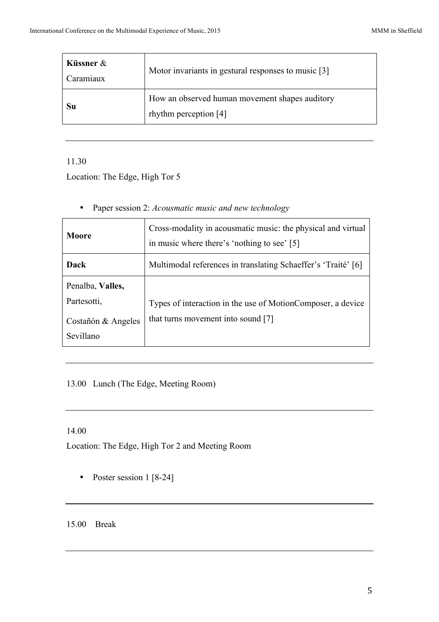| Küssner $\&$<br>Caramiaux | Motor invariants in gestural responses to music [3]                     |
|---------------------------|-------------------------------------------------------------------------|
| Su                        | How an observed human movement shapes auditory<br>rhythm perception [4] |

11.30

Location: The Edge, High Tor 5

| Moore                                                              | Cross-modality in acousmatic music: the physical and virtual<br>in music where there's 'nothing to see' [5] |
|--------------------------------------------------------------------|-------------------------------------------------------------------------------------------------------------|
| Dack                                                               | Multimodal references in translating Schaeffer's 'Traité' [6]                                               |
| Penalba, Valles,<br>Partesotti,<br>Costañón & Angeles<br>Sevillano | Types of interaction in the use of MotionComposer, a device<br>that turns movement into sound [7]           |

13.00 Lunch (The Edge, Meeting Room)

# 14.00

Location: The Edge, High Tor 2 and Meeting Room

• Poster session 1 [8-24]

15.00 Break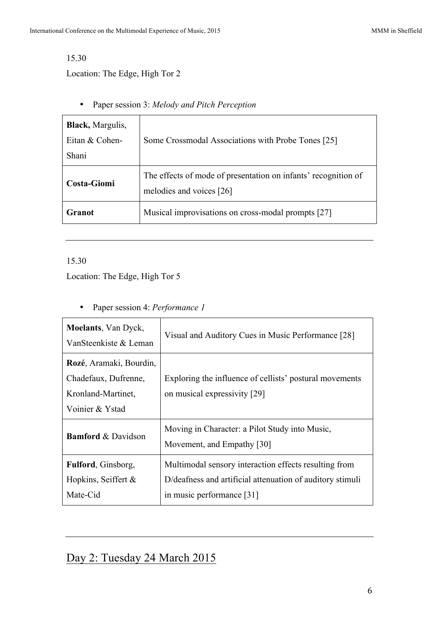## 15.30

Location: The Edge, High Tor 2

• Paper session 3: *Melody and Pitch Perception*

| <b>Black</b> , Margulis,<br>Eitan & Cohen-<br>Shani | Some Crossmodal Associations with Probe Tones [25]                                         |
|-----------------------------------------------------|--------------------------------------------------------------------------------------------|
| Costa-Giomi                                         | The effects of mode of presentation on infants' recognition of<br>melodies and voices [26] |
| Granot                                              | Musical improvisations on cross-modal prompts [27]                                         |

# 15.30

Location: The Edge, High Tor 5

• Paper session 4: *Performance 1*

| <b>Moelants</b> , Van Dyck,<br>VanSteenkiste & Leman                                     | Visual and Auditory Cues in Music Performance [28]                                                                                              |
|------------------------------------------------------------------------------------------|-------------------------------------------------------------------------------------------------------------------------------------------------|
| Rozé, Aramaki, Bourdin,<br>Chadefaux, Dufrenne,<br>Kronland-Martinet,<br>Voinier & Ystad | Exploring the influence of cellists' postural movements<br>on musical expressivity [29]                                                         |
| <b>Bamford &amp; Davidson</b>                                                            | Moving in Character: a Pilot Study into Music,<br>Movement, and Empathy [30]                                                                    |
| <b>Fulford, Ginsborg,</b><br>Hopkins, Seiffert $\&$<br>Mate-Cid                          | Multimodal sensory interaction effects resulting from<br>D/deafness and artificial attenuation of auditory stimuli<br>in music performance [31] |

# Day 2: Tuesday 24 March 2015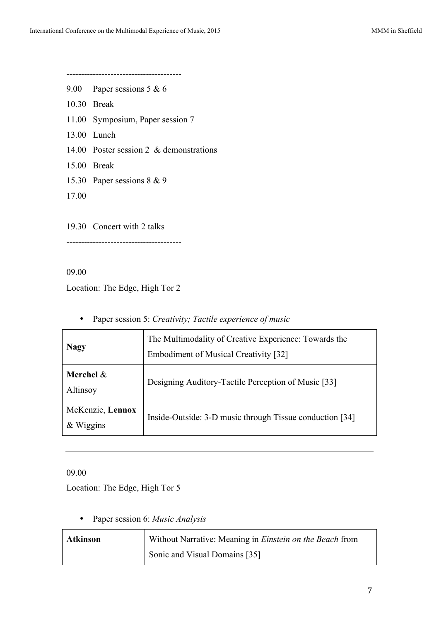---------------------------------------

- 9.00 Paper sessions 5 & 6
- 10.30 Break
- 11.00 Symposium, Paper session 7
- 13.00 Lunch
- 14.00 Poster session 2 & demonstrations
- 15.00 Break
- 15.30 Paper sessions 8 & 9
- 17.00

19.30 Concert with 2 talks

---------------------------------------

09.00

Location: The Edge, High Tor 2

• Paper session 5: *Creativity; Tactile experience of music*

| <b>Nagy</b>                     | The Multimodality of Creative Experience: Towards the<br><b>Embodiment of Musical Creativity [32]</b> |
|---------------------------------|-------------------------------------------------------------------------------------------------------|
| Merchel $&$<br>Altinsoy         | Designing Auditory-Tactile Perception of Music [33]                                                   |
| McKenzie, Lennox<br>$&$ Wiggins | Inside-Outside: 3-D music through Tissue conduction [34]                                              |

09.00

Location: The Edge, High Tor 5

• Paper session 6: *Music Analysis*

| <b>Atkinson</b> | Without Narrative: Meaning in <i>Einstein on the Beach</i> from |
|-----------------|-----------------------------------------------------------------|
|                 | Sonic and Visual Domains [35]                                   |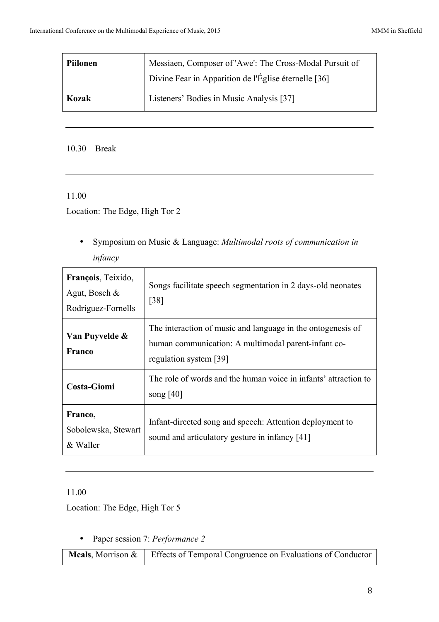| Piilonen | Messiaen, Composer of 'Awe': The Cross-Modal Pursuit of<br>Divine Fear in Apparition de l'Église éternelle [36] |
|----------|-----------------------------------------------------------------------------------------------------------------|
| Kozak    | Listeners' Bodies in Music Analysis [37]                                                                        |

### 10.30 Break

## 11.00

Location: The Edge, High Tor 2

• Symposium on Music & Language: *Multimodal roots of communication in infancy*

| François, Teixido,<br>Agut, Bosch $\&$<br>Rodriguez-Fornells | Songs facilitate speech segmentation in 2 days-old neonates<br>$\left[38\right]$                                                             |
|--------------------------------------------------------------|----------------------------------------------------------------------------------------------------------------------------------------------|
| Van Puyvelde &<br>Franco                                     | The interaction of music and language in the ontogenesis of<br>human communication: A multimodal parent-infant co-<br>regulation system [39] |
| <b>Costa-Giomi</b>                                           | The role of words and the human voice in infants' attraction to<br>song $[40]$                                                               |
| Franco,<br>Sobolewska, Stewart<br>& Waller                   | Infant-directed song and speech: Attention deployment to<br>sound and articulatory gesture in infancy [41]                                   |

## 11.00

Location: The Edge, High Tor 5

• Paper session 7: *Performance 2*

**Meals**, Morrison & Effects of Temporal Congruence on Evaluations of Conductor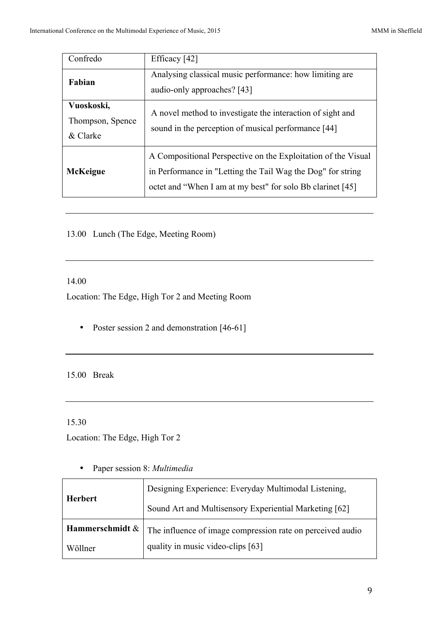| Confredo                                   | Efficacy [42]                                                                                                                                                                              |
|--------------------------------------------|--------------------------------------------------------------------------------------------------------------------------------------------------------------------------------------------|
| Fabian                                     | Analysing classical music performance: how limiting are<br>audio-only approaches? [43]                                                                                                     |
| Vuoskoski,<br>Thompson, Spence<br>& Clarke | A novel method to investigate the interaction of sight and<br>sound in the perception of musical performance [44]                                                                          |
| <b>McKeigue</b>                            | A Compositional Perspective on the Exploitation of the Visual<br>in Performance in "Letting the Tail Wag the Dog" for string<br>octet and "When I am at my best" for solo Bb clarinet [45] |

13.00 Lunch (The Edge, Meeting Room)

#### 14.00

Location: The Edge, High Tor 2 and Meeting Room

• Poster session 2 and demonstration [46-61]

15.00 Break

15.30

Location: The Edge, High Tor 2

| <b>Herbert</b>  | Designing Experience: Everyday Multimodal Listening,       |
|-----------------|------------------------------------------------------------|
|                 | Sound Art and Multisensory Experiential Marketing [62]     |
| Hammerschmidt & | The influence of image compression rate on perceived audio |
| Wöllner         | quality in music video-clips [63]                          |

• Paper session 8: *Multimedia*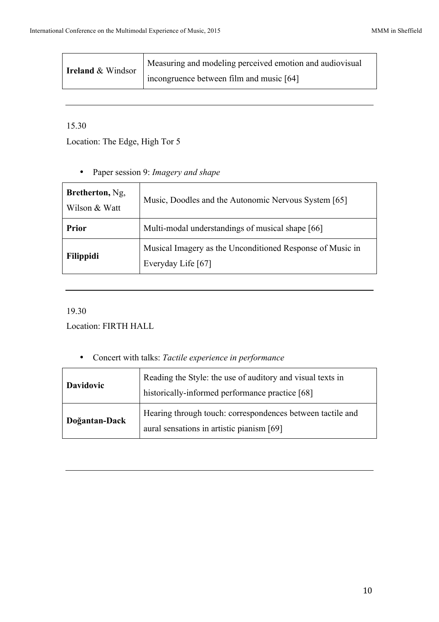| <b>Ireland &amp; Windsor</b> | Measuring and modeling perceived emotion and audiovisual |
|------------------------------|----------------------------------------------------------|
|                              | incongruence between film and music [64]                 |

# 15.30

Location: The Edge, High Tor 5

• Paper session 9: *Imagery and shape*

| Bretherton, Ng.<br>Wilson & Watt | Music, Doodles and the Autonomic Nervous System [65]                            |  |
|----------------------------------|---------------------------------------------------------------------------------|--|
| <b>Prior</b>                     | Multi-modal understandings of musical shape [66]                                |  |
| Filippidi                        | Musical Imagery as the Unconditioned Response of Music in<br>Everyday Life [67] |  |

# 19.30

Location: FIRTH HALL

• Concert with talks: *Tactile experience in performance*

| <b>Davidovic</b> | Reading the Style: the use of auditory and visual texts in<br>historically-informed performance practice [68] |
|------------------|---------------------------------------------------------------------------------------------------------------|
| Doğantan-Dack    | Hearing through touch: correspondences between tactile and<br>aural sensations in artistic pianism [69]       |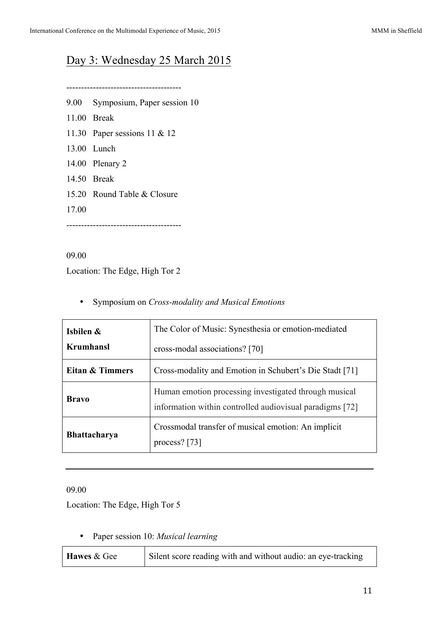# Day 3: Wednesday 25 March 2015

---------------------------------------

- 9.00 Symposium, Paper session 10
- 11.00 Break
- 11.30 Paper sessions 11 & 12
- 13.00 Lunch
- 14.00 Plenary 2
- 14.50 Break
- 15.20 Round Table & Closure
- 17.00

---------------------------------------

09.00

Location: The Edge, High Tor 2

• Symposium on *Cross-modality and Musical Emotions*

| Isbilen &<br>Krumhansl     | The Color of Music: Synesthesia or emotion-mediated<br>cross-modal associations? [70]                             |  |
|----------------------------|-------------------------------------------------------------------------------------------------------------------|--|
| <b>Eitan &amp; Timmers</b> | Cross-modality and Emotion in Schubert's Die Stadt [71]                                                           |  |
| <b>Bravo</b>               | Human emotion processing investigated through musical<br>information within controlled audiovisual paradigms [72] |  |
| <b>Bhattacharya</b>        | Crossmodal transfer of musical emotion: An implicit<br>process? $[73]$                                            |  |

09.00

Location: The Edge, High Tor 5

• Paper session 10: *Musical learning*

| Hawes & Gee | Silent score reading with and without audio: an eye-tracking |
|-------------|--------------------------------------------------------------|
|-------------|--------------------------------------------------------------|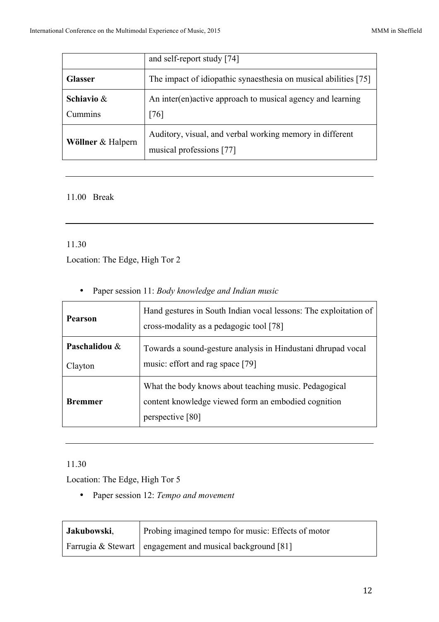|                          | and self-report study [74]                                                           |
|--------------------------|--------------------------------------------------------------------------------------|
| <b>Glasser</b>           | The impact of idiopathic synaesthesia on musical abilities [75]                      |
| Schiavio $\&$<br>Cummins | An inter(en)active approach to musical agency and learning<br>[76]                   |
| Wöllner & Halpern        | Auditory, visual, and verbal working memory in different<br>musical professions [77] |

# 11.00 Break

## 11.30

Location: The Edge, High Tor 2

|  | • Paper session 11: Body knowledge and Indian music |  |  |  |  |
|--|-----------------------------------------------------|--|--|--|--|
|--|-----------------------------------------------------|--|--|--|--|

| Hand gestures in South Indian vocal lessons: The exploitation of<br><b>Pearson</b><br>cross-modality as a pedagogic tool [78] |                                                                                                                                  |  |
|-------------------------------------------------------------------------------------------------------------------------------|----------------------------------------------------------------------------------------------------------------------------------|--|
| Paschalidou &<br>Clayton                                                                                                      | Towards a sound-gesture analysis in Hindustani dhrupad vocal<br>music: effort and rag space [79]                                 |  |
| <b>Bremmer</b>                                                                                                                | What the body knows about teaching music. Pedagogical<br>content knowledge viewed form an embodied cognition<br>perspective [80] |  |

# 11.30

Location: The Edge, High Tor 5

• Paper session 12: *Tempo and movement*

| Jakubowski, | Probing imagined tempo for music: Effects of motor          |
|-------------|-------------------------------------------------------------|
|             | Farrugia & Stewart   engagement and musical background [81] |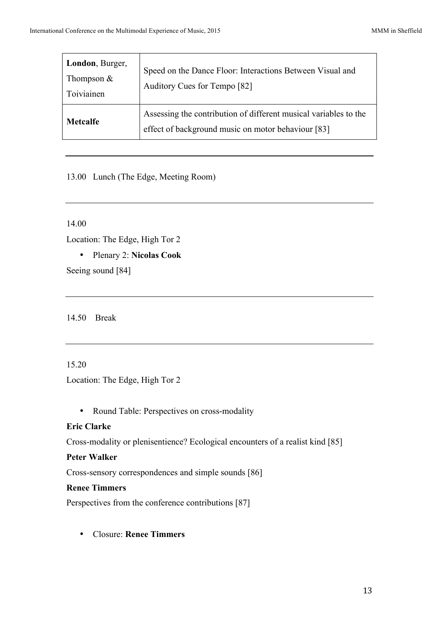| London, Burger,<br>Thompson $&$<br>Toiviainen | Speed on the Dance Floor: Interactions Between Visual and<br>Auditory Cues for Tempo [82]                              |
|-----------------------------------------------|------------------------------------------------------------------------------------------------------------------------|
| <b>Metcalfe</b>                               | Assessing the contribution of different musical variables to the<br>effect of background music on motor behaviour [83] |

# 13.00 Lunch (The Edge, Meeting Room)

14.00

Location: The Edge, High Tor 2

• Plenary 2: **Nicolas Cook**

Seeing sound [84]

14.50 Break

### 15.20

Location: The Edge, High Tor 2

• Round Table: Perspectives on cross-modality

# **Eric Clarke**

Cross-modality or plenisentience? Ecological encounters of a realist kind [85]

### **Peter Walker**

Cross-sensory correspondences and simple sounds [86]

# **Renee Timmers**

Perspectives from the conference contributions [87]

• Closure: **Renee Timmers**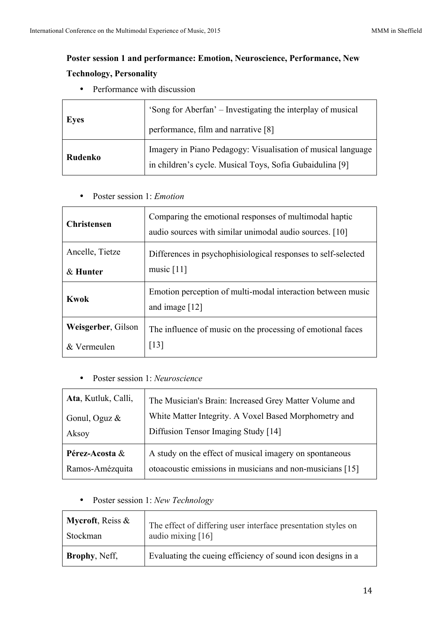# **Poster session 1 and performance: Emotion, Neuroscience, Performance, New Technology, Personality**

• Performance with discussion

| <b>Eyes</b> | 'Song for Aberfan' – Investigating the interplay of musical                                                              |
|-------------|--------------------------------------------------------------------------------------------------------------------------|
|             | performance, film and narrative [8]                                                                                      |
| Rudenko     | Imagery in Piano Pedagogy: Visualisation of musical language<br>in children's cycle. Musical Toys, Sofia Gubaidulina [9] |

• Poster session 1: *Emotion*

| <b>Christensen</b> | Comparing the emotional responses of multimodal haptic<br>audio sources with similar unimodal audio sources. [10] |  |
|--------------------|-------------------------------------------------------------------------------------------------------------------|--|
| Ancelle, Tietze    | Differences in psychophisiological responses to self-selected                                                     |  |
| $&$ Hunter         | music $[11]$                                                                                                      |  |
| Kwok               | Emotion perception of multi-modal interaction between music<br>and image $[12]$                                   |  |
| Weisgerber, Gilson | The influence of music on the processing of emotional faces                                                       |  |
| & Vermeulen        | $\lceil 13 \rceil$                                                                                                |  |

• Poster session 1: *Neuroscience*

| Ata, Kutluk, Calli, | The Musician's Brain: Increased Grey Matter Volume and    |
|---------------------|-----------------------------------------------------------|
| Gonul, Oguz $\&$    | White Matter Integrity. A Voxel Based Morphometry and     |
| Aksoy               | Diffusion Tensor Imaging Study [14]                       |
| Pérez-Acosta &      | A study on the effect of musical imagery on spontaneous   |
| Ramos-Amézquita     | otoacoustic emissions in musicians and non-musicians [15] |

• Poster session 1: *New Technology*

| Mycroft, Reiss &      | The effect of differing user interface presentation styles on |
|-----------------------|---------------------------------------------------------------|
| Stockman              | audio mixing [16]                                             |
| <b>Brophy</b> , Neff, | Evaluating the cueing efficiency of sound icon designs in a   |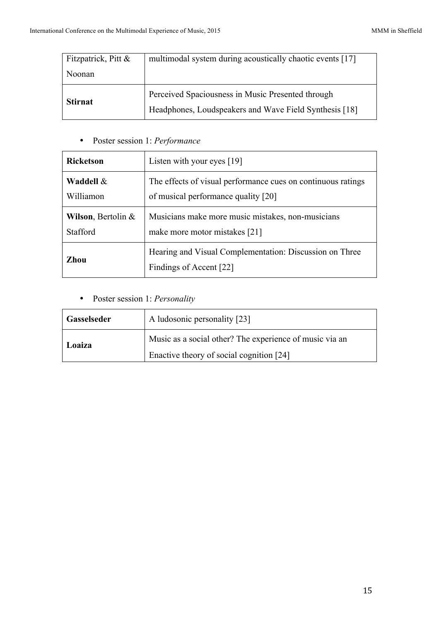| Fitzpatrick, Pitt & | multimodal system during acoustically chaotic events [17]                                                   |
|---------------------|-------------------------------------------------------------------------------------------------------------|
| Noonan              |                                                                                                             |
| <b>Stirnat</b>      | Perceived Spaciousness in Music Presented through<br>Headphones, Loudspeakers and Wave Field Synthesis [18] |

• Poster session 1: *Performance*

| <b>Ricketson</b>              | Listen with your eyes $[19]$                                                       |
|-------------------------------|------------------------------------------------------------------------------------|
| Waddell &                     | The effects of visual performance cues on continuous ratings                       |
| Williamon                     | of musical performance quality [20]                                                |
| <b>Wilson, Bertolin &amp;</b> | Musicians make more music mistakes, non-musicians                                  |
| Stafford                      | make more motor mistakes [21]                                                      |
| Zhou                          | Hearing and Visual Complementation: Discussion on Three<br>Findings of Accent [22] |

• Poster session 1: *Personality*

| <b>Gasselseder</b> | A ludosonic personality [23]                            |
|--------------------|---------------------------------------------------------|
| Loaiza             | Music as a social other? The experience of music via an |
|                    | Enactive theory of social cognition [24]                |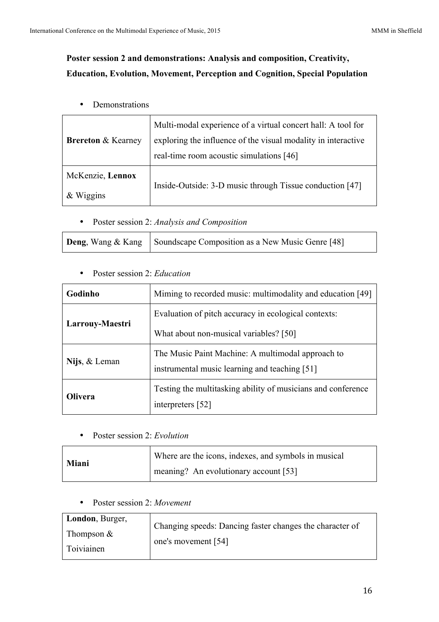# **Poster session 2 and demonstrations: Analysis and composition, Creativity, Education, Evolution, Movement, Perception and Cognition, Special Population**

• Demonstrations

| <b>Brereton &amp; Kearney</b> | Multi-modal experience of a virtual concert hall: A tool for<br>exploring the influence of the visual modality in interactive<br>real-time room acoustic simulations [46] |
|-------------------------------|---------------------------------------------------------------------------------------------------------------------------------------------------------------------------|
| McKenzie, Lennox<br>&Wiggsins | Inside-Outside: 3-D music through Tissue conduction [47]                                                                                                                  |

• Poster session 2: *Analysis and Composition*

| <b>Deng</b> , Wang & Kang Soundscape Composition as a New Music Genre [48] |  |
|----------------------------------------------------------------------------|--|
|----------------------------------------------------------------------------|--|

• Poster session 2: *Education*

| Godinho         | Miming to recorded music: multimodality and education [49]                                         |
|-----------------|----------------------------------------------------------------------------------------------------|
| Larrouy-Maestri | Evaluation of pitch accuracy in ecological contexts:                                               |
|                 | What about non-musical variables? [50]                                                             |
| Nijs, & Leman   | The Music Paint Machine: A multimodal approach to<br>instrumental music learning and teaching [51] |
| <b>Olivera</b>  | Testing the multitasking ability of musicians and conference<br>interpreters [52]                  |

• Poster session 2: *Evolution*

| <b>Miani</b> | Where are the icons, indexes, and symbols in musical |
|--------------|------------------------------------------------------|
|              | meaning? An evolutionary account [53]                |

• Poster session 2: *Movement*

| London, Burger, | Changing speeds: Dancing faster changes the character of |
|-----------------|----------------------------------------------------------|
| Thompson $&$    | one's movement [54]                                      |
| Toiviainen      |                                                          |